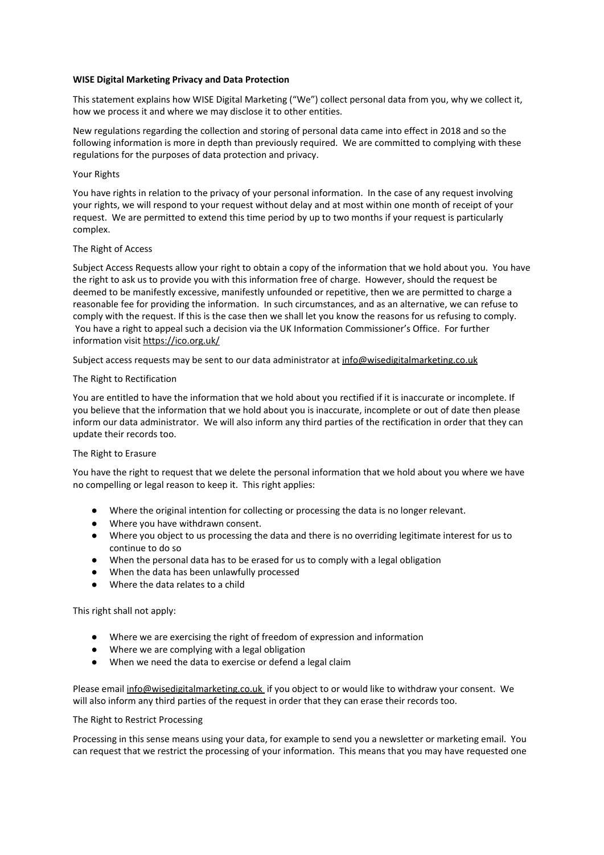#### **WISE Digital Marketing Privacy and Data Protection**

This statement explains how WISE Digital Marketing ("We") collect personal data from you, why we collect it, how we process it and where we may disclose it to other entities.

New regulations regarding the collection and storing of personal data came into effect in 2018 and so the following information is more in depth than previously required. We are committed to complying with these regulations for the purposes of data protection and privacy.

#### Your Rights

You have rights in relation to the privacy of your personal information. In the case of any request involving your rights, we will respond to your request without delay and at most within one month of receipt of your request. We are permitted to extend this time period by up to two months if your request is particularly complex.

### The Right of Access

Subject Access Requests allow your right to obtain a copy of the information that we hold about you. You have the right to ask us to provide you with this information free of charge. However, should the request be deemed to be manifestly excessive, manifestly unfounded or repetitive, then we are permitted to charge a reasonable fee for providing the information. In such circumstances, and as an alternative, we can refuse to comply with the request. If this is the case then we shall let you know the reasons for us refusing to comply. You have a right to appeal such a decision via the UK Information Commissioner's Office. For further information visit <https://ico.org.uk/>

Subject access requests may be sent to our data administrator at info@wisedigitalmarketing.co.uk

### The Right to Rectification

You are entitled to have the information that we hold about you rectified if it is inaccurate or incomplete. If you believe that the information that we hold about you is inaccurate, incomplete or out of date then please inform our data administrator. We will also inform any third parties of the rectification in order that they can update their records too.

# The Right to Erasure

You have the right to request that we delete the personal information that we hold about you where we have no compelling or legal reason to keep it. This right applies:

- Where the original intention for collecting or processing the data is no longer relevant.
- Where you have withdrawn consent.
- Where you object to us processing the data and there is no overriding legitimate interest for us to continue to do so
- When the personal data has to be erased for us to comply with a legal obligation
- When the data has been unlawfully processed
- Where the data relates to a child

# This right shall not apply:

- Where we are exercising the right of freedom of expression and information
- Where we are complying with a legal obligation
- When we need the data to exercise or defend a legal claim

Please email info@wisedigitalmarketing.co.uk if you object to or would like to withdraw your consent. We will also inform any third parties of the request in order that they can erase their records too.

#### The Right to Restrict Processing

Processing in this sense means using your data, for example to send you a newsletter or marketing email. You can request that we restrict the processing of your information. This means that you may have requested one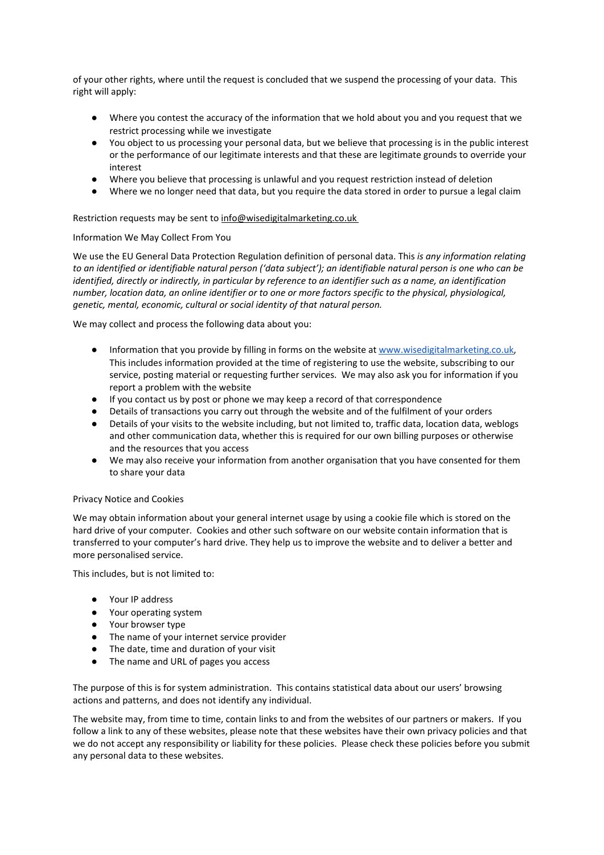of your other rights, where until the request is concluded that we suspend the processing of your data. This right will apply:

- Where you contest the accuracy of the information that we hold about you and you request that we restrict processing while we investigate
- You object to us processing your personal data, but we believe that processing is in the public interest or the performance of our legitimate interests and that these are legitimate grounds to override your interest
- Where you believe that processing is unlawful and you request restriction instead of deletion
- Where we no longer need that data, but you require the data stored in order to pursue a legal claim

# Restriction requests may be sent to info@wisedigitalmarketing.co.uk

# Information We May Collect From You

We use the EU General Data Protection Regulation definition of personal data. This *is any information relating* to an identified or identifiable natural person ('data subject'); an identifiable natural person is one who can be identified, directly or indirectly, in particular by reference to an identifier such as a name, an identification number, location data, an online identifier or to one or more factors specific to the physical, physiological, *genetic, mental, economic, cultural or social identity of that natural person.*

We may collect and process the following data about you:

- Information that you provide by filling in forms on the website at [www.wisedigitalmarketing.co.uk](https://www.wisedigitalmarketing.co.uk/), This includes information provided at the time of registering to use the website, subscribing to our service, posting material or requesting further services. We may also ask you for information if you report a problem with the website
- If you contact us by post or phone we may keep a record of that correspondence
- Details of transactions you carry out through the website and of the fulfilment of your orders
- Details of your visits to the website including, but not limited to, traffic data, location data, weblogs and other communication data, whether this is required for our own billing purposes or otherwise and the resources that you access
- We may also receive your information from another organisation that you have consented for them to share your data

# Privacy Notice and Cookies

We may obtain information about your general internet usage by using a cookie file which is stored on the hard drive of your computer. Cookies and other such software on our website contain information that is transferred to your computer's hard drive. They help us to improve the website and to deliver a better and more personalised service.

This includes, but is not limited to:

- Your IP address
- Your operating system
- Your browser type
- The name of your internet service provider
- The date, time and duration of your visit
- The name and URL of pages you access

The purpose of this is for system administration. This contains statistical data about our users' browsing actions and patterns, and does not identify any individual.

The website may, from time to time, contain links to and from the websites of our partners or makers. If you follow a link to any of these websites, please note that these websites have their own privacy policies and that we do not accept any responsibility or liability for these policies. Please check these policies before you submit any personal data to these websites.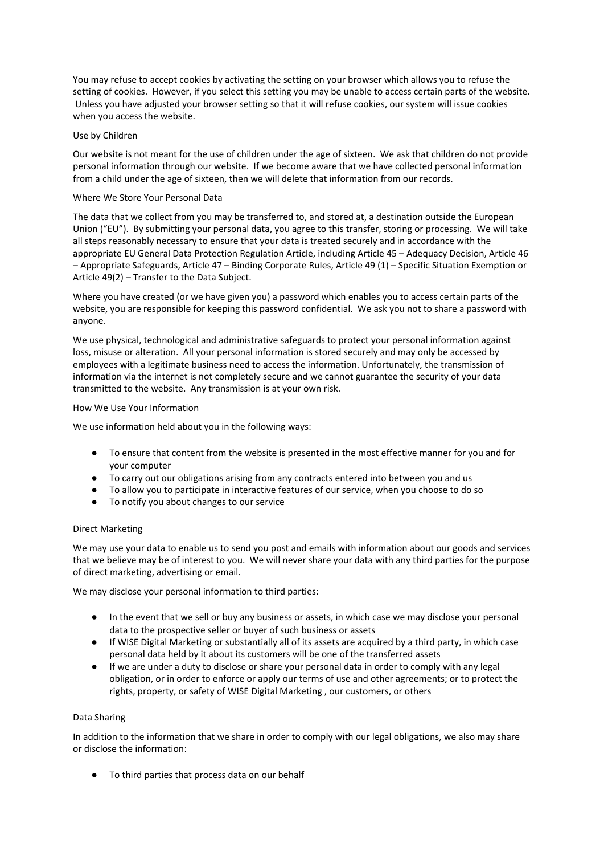You may refuse to accept cookies by activating the setting on your browser which allows you to refuse the setting of cookies. However, if you select this setting you may be unable to access certain parts of the website. Unless you have adjusted your browser setting so that it will refuse cookies, our system will issue cookies when you access the website.

# Use by Children

Our website is not meant for the use of children under the age of sixteen. We ask that children do not provide personal information through our website. If we become aware that we have collected personal information from a child under the age of sixteen, then we will delete that information from our records.

### Where We Store Your Personal Data

The data that we collect from you may be transferred to, and stored at, a destination outside the European Union ("EU"). By submitting your personal data, you agree to this transfer, storing or processing. We will take all steps reasonably necessary to ensure that your data is treated securely and in accordance with the appropriate EU General Data Protection Regulation Article, including Article 45 – Adequacy Decision, Article 46 – Appropriate Safeguards, Article 47 – Binding Corporate Rules, Article 49 (1) – Specific Situation Exemption or Article 49(2) – Transfer to the Data Subject.

Where you have created (or we have given you) a password which enables you to access certain parts of the website, you are responsible for keeping this password confidential. We ask you not to share a password with anyone.

We use physical, technological and administrative safeguards to protect your personal information against loss, misuse or alteration. All your personal information is stored securely and may only be accessed by employees with a legitimate business need to access the information. Unfortunately, the transmission of information via the internet is not completely secure and we cannot guarantee the security of your data transmitted to the website. Any transmission is at your own risk.

### How We Use Your Information

We use information held about you in the following ways:

- To ensure that content from the website is presented in the most effective manner for you and for your computer
- To carry out our obligations arising from any contracts entered into between you and us
- To allow you to participate in interactive features of our service, when you choose to do so
- To notify you about changes to our service

# Direct Marketing

We may use your data to enable us to send you post and emails with information about our goods and services that we believe may be of interest to you. We will never share your data with any third parties for the purpose of direct marketing, advertising or email.

We may disclose your personal information to third parties:

- In the event that we sell or buy any business or assets, in which case we may disclose your personal data to the prospective seller or buyer of such business or assets
- If WISE Digital Marketing or substantially all of its assets are acquired by a third party, in which case personal data held by it about its customers will be one of the transferred assets
- If we are under a duty to disclose or share your personal data in order to comply with any legal obligation, or in order to enforce or apply our terms of use and other agreements; or to protect the rights, property, or safety of WISE Digital Marketing , our customers, or others

# Data Sharing

In addition to the information that we share in order to comply with our legal obligations, we also may share or disclose the information:

● To third parties that process data on our behalf